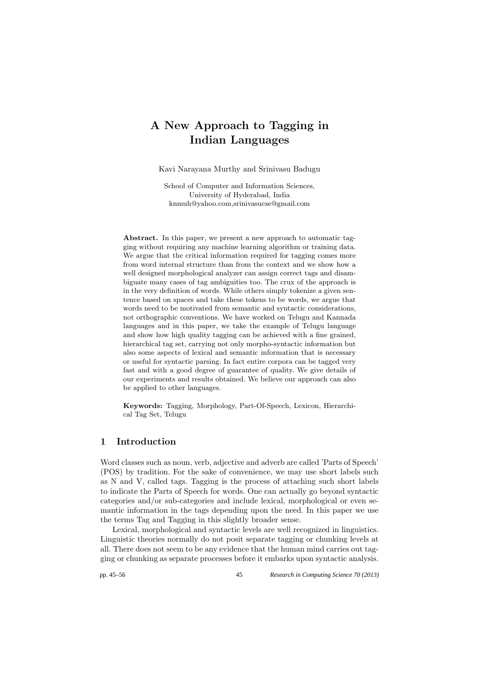# A New Approach to Tagging in Indian Languages

Kavi Narayana Murthy and Srinivasu Badugu

School of Computer and Information Sciences, University of Hyderabad, India knmuh@yahoo.com,srinivasucse@gmail.com

Abstract. In this paper, we present a new approach to automatic tagging without requiring any machine learning algorithm or training data. We argue that the critical information required for tagging comes more from word internal structure than from the context and we show how a well designed morphological analyzer can assign correct tags and disambiguate many cases of tag ambiguities too. The crux of the approach is in the very definition of words. While others simply tokenize a given sentence based on spaces and take these tokens to be words, we argue that words need to be motivated from semantic and syntactic considerations, not orthographic conventions. We have worked on Telugu and Kannada languages and in this paper, we take the example of Telugu language and show how high quality tagging can be achieved with a fine grained, hierarchical tag set, carrying not only morpho-syntactic information but also some aspects of lexical and semantic information that is necessary or useful for syntactic parsing. In fact entire corpora can be tagged very fast and with a good degree of guarantee of quality. We give details of our experiments and results obtained. We believe our approach can also be applied to other languages.

Keywords: Tagging, Morphology, Part-Of-Speech, Lexicon, Hierarchical Tag Set, Telugu

## 1 Introduction

Word classes such as noun, verb, adjective and adverb are called 'Parts of Speech' (POS) by tradition. For the sake of convenience, we may use short labels such as N and V, called tags. Tagging is the process of attaching such short labels to indicate the Parts of Speech for words. One can actually go beyond syntactic categories and/or sub-categories and include lexical, morphological or even semantic information in the tags depending upon the need. In this paper we use the terms Tag and Tagging in this slightly broader sense.

Lexical, morphological and syntactic levels are well recognized in linguistics. Linguistic theories normally do not posit separate tagging or chunking levels at all. There does not seem to be any evidence that the human mind carries out tagging or chunking as separate processes before it embarks upon syntactic analysis.

pp. 45–56 45 *Research in Computing Science 70 (2013)*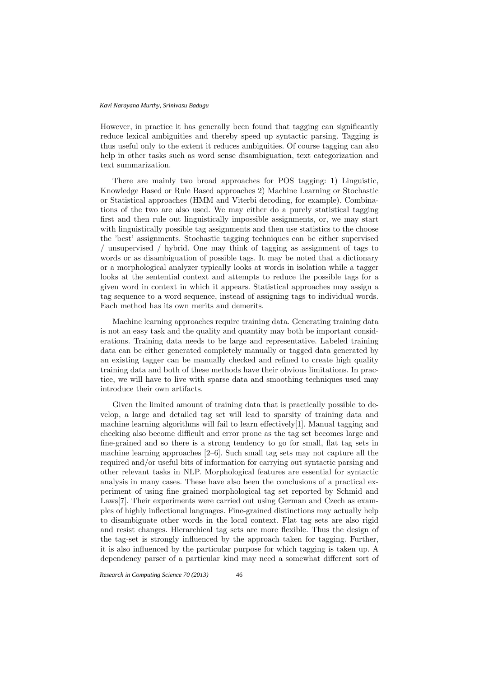However, in practice it has generally been found that tagging can significantly reduce lexical ambiguities and thereby speed up syntactic parsing. Tagging is thus useful only to the extent it reduces ambiguities. Of course tagging can also help in other tasks such as word sense disambiguation, text categorization and text summarization.

There are mainly two broad approaches for POS tagging: 1) Linguistic, Knowledge Based or Rule Based approaches 2) Machine Learning or Stochastic or Statistical approaches (HMM and Viterbi decoding, for example). Combinations of the two are also used. We may either do a purely statistical tagging first and then rule out linguistically impossible assignments, or, we may start with linguistically possible tag assignments and then use statistics to the choose the 'best' assignments. Stochastic tagging techniques can be either supervised / unsupervised / hybrid. One may think of tagging as assignment of tags to words or as disambiguation of possible tags. It may be noted that a dictionary or a morphological analyzer typically looks at words in isolation while a tagger looks at the sentential context and attempts to reduce the possible tags for a given word in context in which it appears. Statistical approaches may assign a tag sequence to a word sequence, instead of assigning tags to individual words. Each method has its own merits and demerits.

Machine learning approaches require training data. Generating training data is not an easy task and the quality and quantity may both be important considerations. Training data needs to be large and representative. Labeled training data can be either generated completely manually or tagged data generated by an existing tagger can be manually checked and refined to create high quality training data and both of these methods have their obvious limitations. In practice, we will have to live with sparse data and smoothing techniques used may introduce their own artifacts.

Given the limited amount of training data that is practically possible to develop, a large and detailed tag set will lead to sparsity of training data and machine learning algorithms will fail to learn effectively[1]. Manual tagging and checking also become difficult and error prone as the tag set becomes large and fine-grained and so there is a strong tendency to go for small, flat tag sets in machine learning approaches [2–6]. Such small tag sets may not capture all the required and/or useful bits of information for carrying out syntactic parsing and other relevant tasks in NLP. Morphological features are essential for syntactic analysis in many cases. These have also been the conclusions of a practical experiment of using fine grained morphological tag set reported by Schmid and Laws[7]. Their experiments were carried out using German and Czech as examples of highly inflectional languages. Fine-grained distinctions may actually help to disambiguate other words in the local context. Flat tag sets are also rigid and resist changes. Hierarchical tag sets are more flexible. Thus the design of the tag-set is strongly influenced by the approach taken for tagging. Further, it is also influenced by the particular purpose for which tagging is taken up. A dependency parser of a particular kind may need a somewhat different sort of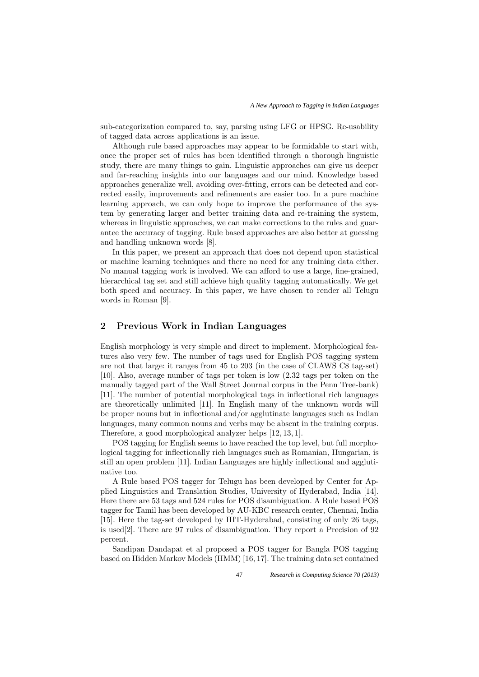sub-categorization compared to, say, parsing using LFG or HPSG. Re-usability of tagged data across applications is an issue.

Although rule based approaches may appear to be formidable to start with, once the proper set of rules has been identified through a thorough linguistic study, there are many things to gain. Linguistic approaches can give us deeper and far-reaching insights into our languages and our mind. Knowledge based approaches generalize well, avoiding over-fitting, errors can be detected and corrected easily, improvements and refinements are easier too. In a pure machine learning approach, we can only hope to improve the performance of the system by generating larger and better training data and re-training the system, whereas in linguistic approaches, we can make corrections to the rules and guarantee the accuracy of tagging. Rule based approaches are also better at guessing and handling unknown words [8].

In this paper, we present an approach that does not depend upon statistical or machine learning techniques and there no need for any training data either. No manual tagging work is involved. We can afford to use a large, fine-grained, hierarchical tag set and still achieve high quality tagging automatically. We get both speed and accuracy. In this paper, we have chosen to render all Telugu words in Roman [9].

## 2 Previous Work in Indian Languages

English morphology is very simple and direct to implement. Morphological features also very few. The number of tags used for English POS tagging system are not that large: it ranges from 45 to 203 (in the case of CLAWS C8 tag-set) [10]. Also, average number of tags per token is low (2.32 tags per token on the manually tagged part of the Wall Street Journal corpus in the Penn Tree-bank) [11]. The number of potential morphological tags in inflectional rich languages are theoretically unlimited [11]. In English many of the unknown words will be proper nouns but in inflectional and/or agglutinate languages such as Indian languages, many common nouns and verbs may be absent in the training corpus. Therefore, a good morphological analyzer helps [12, 13, 1].

POS tagging for English seems to have reached the top level, but full morphological tagging for inflectionally rich languages such as Romanian, Hungarian, is still an open problem [11]. Indian Languages are highly inflectional and agglutinative too.

A Rule based POS tagger for Telugu has been developed by Center for Applied Linguistics and Translation Studies, University of Hyderabad, India [14]. Here there are 53 tags and 524 rules for POS disambiguation. A Rule based POS tagger for Tamil has been developed by AU-KBC research center, Chennai, India [15]. Here the tag-set developed by IIIT-Hyderabad, consisting of only 26 tags, is used[2]. There are 97 rules of disambiguation. They report a Precision of 92 percent.

Sandipan Dandapat et al proposed a POS tagger for Bangla POS tagging based on Hidden Markov Models (HMM) [16, 17]. The training data set contained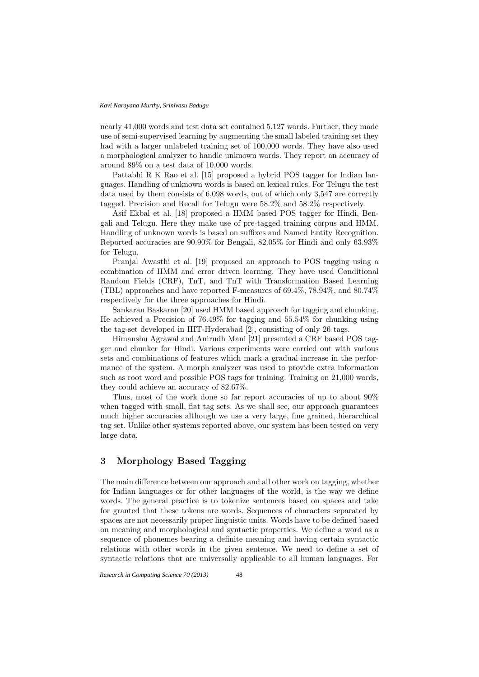nearly 41,000 words and test data set contained 5,127 words. Further, they made use of semi-supervised learning by augmenting the small labeled training set they had with a larger unlabeled training set of 100,000 words. They have also used a morphological analyzer to handle unknown words. They report an accuracy of around 89% on a test data of 10,000 words.

Pattabhi R K Rao et al. [15] proposed a hybrid POS tagger for Indian languages. Handling of unknown words is based on lexical rules. For Telugu the test data used by them consists of 6,098 words, out of which only 3,547 are correctly tagged. Precision and Recall for Telugu were 58.2% and 58.2% respectively.

Asif Ekbal et al. [18] proposed a HMM based POS tagger for Hindi, Bengali and Telugu. Here they make use of pre-tagged training corpus and HMM. Handling of unknown words is based on suffixes and Named Entity Recognition. Reported accuracies are 90.90% for Bengali, 82.05% for Hindi and only 63.93% for Telugu.

Pranjal Awasthi et al. [19] proposed an approach to POS tagging using a combination of HMM and error driven learning. They have used Conditional Random Fields (CRF), TnT, and TnT with Transformation Based Learning (TBL) approaches and have reported F-measures of 69.4%, 78.94%, and 80.74% respectively for the three approaches for Hindi.

Sankaran Baskaran [20] used HMM based approach for tagging and chunking. He achieved a Precision of 76.49% for tagging and 55.54% for chunking using the tag-set developed in IIIT-Hyderabad [2], consisting of only 26 tags.

Himanshu Agrawal and Anirudh Mani [21] presented a CRF based POS tagger and chunker for Hindi. Various experiments were carried out with various sets and combinations of features which mark a gradual increase in the performance of the system. A morph analyzer was used to provide extra information such as root word and possible POS tags for training. Training on 21,000 words, they could achieve an accuracy of 82.67%.

Thus, most of the work done so far report accuracies of up to about 90% when tagged with small, flat tag sets. As we shall see, our approach guarantees much higher accuracies although we use a very large, fine grained, hierarchical tag set. Unlike other systems reported above, our system has been tested on very large data.

## 3 Morphology Based Tagging

The main difference between our approach and all other work on tagging, whether for Indian languages or for other languages of the world, is the way we define words. The general practice is to tokenize sentences based on spaces and take for granted that these tokens are words. Sequences of characters separated by spaces are not necessarily proper linguistic units. Words have to be defined based on meaning and morphological and syntactic properties. We define a word as a sequence of phonemes bearing a definite meaning and having certain syntactic relations with other words in the given sentence. We need to define a set of syntactic relations that are universally applicable to all human languages. For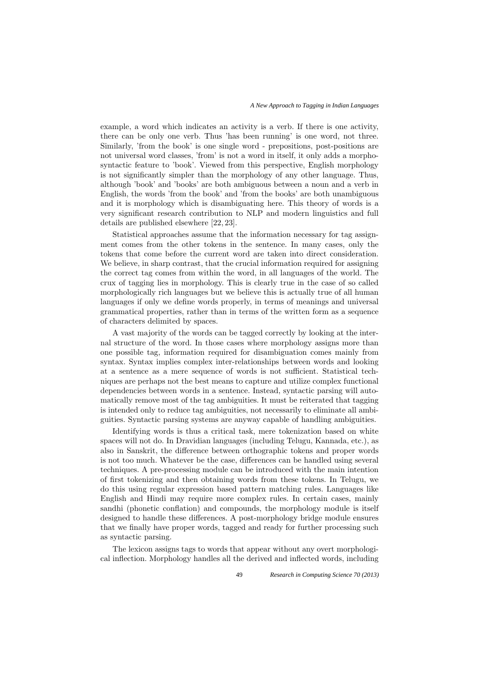example, a word which indicates an activity is a verb. If there is one activity, there can be only one verb. Thus 'has been running' is one word, not three. Similarly, 'from the book' is one single word - prepositions, post-positions are not universal word classes, 'from' is not a word in itself, it only adds a morphosyntactic feature to 'book'. Viewed from this perspective, English morphology is not significantly simpler than the morphology of any other language. Thus, although 'book' and 'books' are both ambiguous between a noun and a verb in English, the words 'from the book' and 'from the books' are both unambiguous and it is morphology which is disambiguating here. This theory of words is a very significant research contribution to NLP and modern linguistics and full details are published elsewhere [22, 23].

Statistical approaches assume that the information necessary for tag assignment comes from the other tokens in the sentence. In many cases, only the tokens that come before the current word are taken into direct consideration. We believe, in sharp contrast, that the crucial information required for assigning the correct tag comes from within the word, in all languages of the world. The crux of tagging lies in morphology. This is clearly true in the case of so called morphologically rich languages but we believe this is actually true of all human languages if only we define words properly, in terms of meanings and universal grammatical properties, rather than in terms of the written form as a sequence of characters delimited by spaces.

A vast majority of the words can be tagged correctly by looking at the internal structure of the word. In those cases where morphology assigns more than one possible tag, information required for disambiguation comes mainly from syntax. Syntax implies complex inter-relationships between words and looking at a sentence as a mere sequence of words is not sufficient. Statistical techniques are perhaps not the best means to capture and utilize complex functional dependencies between words in a sentence. Instead, syntactic parsing will automatically remove most of the tag ambiguities. It must be reiterated that tagging is intended only to reduce tag ambiguities, not necessarily to eliminate all ambiguities. Syntactic parsing systems are anyway capable of handling ambiguities.

Identifying words is thus a critical task, mere tokenization based on white spaces will not do. In Dravidian languages (including Telugu, Kannada, etc.), as also in Sanskrit, the difference between orthographic tokens and proper words is not too much. Whatever be the case, differences can be handled using several techniques. A pre-processing module can be introduced with the main intention of first tokenizing and then obtaining words from these tokens. In Telugu, we do this using regular expression based pattern matching rules. Languages like English and Hindi may require more complex rules. In certain cases, mainly sandhi (phonetic conflation) and compounds, the morphology module is itself designed to handle these differences. A post-morphology bridge module ensures that we finally have proper words, tagged and ready for further processing such as syntactic parsing.

The lexicon assigns tags to words that appear without any overt morphological inflection. Morphology handles all the derived and inflected words, including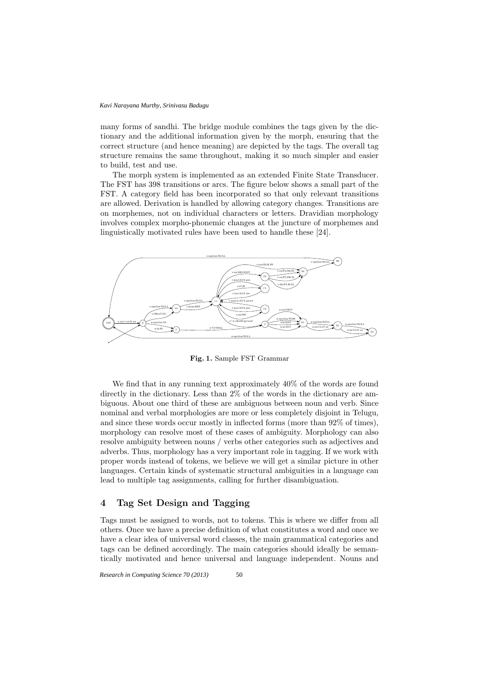many forms of sandhi. The bridge module combines the tags given by the dictionary and the additional information given by the morph, ensuring that the correct structure (and hence meaning) are depicted by the tags. The overall tag structure remains the same throughout, making it so much simpler and easier to build, test and use.

The morph system is implemented as an extended Finite State Transducer. The FST has 398 transitions or arcs. The figure below shows a small part of the FST. A category field has been incorporated so that only relevant transitions are allowed. Derivation is handled by allowing category changes. Transitions are on morphemes, not on individual characters or letters. Dravidian morphology involves complex morpho-phonemic changes at the juncture of morphemes and linguistically motivated rules have been used to handle these [24].



Fig. 1. Sample FST Grammar

We find that in any running text approximately 40% of the words are found directly in the dictionary. Less than 2% of the words in the dictionary are ambiguous. About one third of these are ambiguous between noun and verb. Since nominal and verbal morphologies are more or less completely disjoint in Telugu, and since these words occur mostly in inflected forms (more than 92% of times), morphology can resolve most of these cases of ambiguity. Morphology can also resolve ambiguity between nouns / verbs other categories such as adjectives and adverbs. Thus, morphology has a very important role in tagging. If we work with proper words instead of tokens, we believe we will get a similar picture in other languages. Certain kinds of systematic structural ambiguities in a language can lead to multiple tag assignments, calling for further disambiguation.

## 4 Tag Set Design and Tagging

Tags must be assigned to words, not to tokens. This is where we differ from all others. Once we have a precise definition of what constitutes a word and once we have a clear idea of universal word classes, the main grammatical categories and tags can be defined accordingly. The main categories should ideally be semantically motivated and hence universal and language independent. Nouns and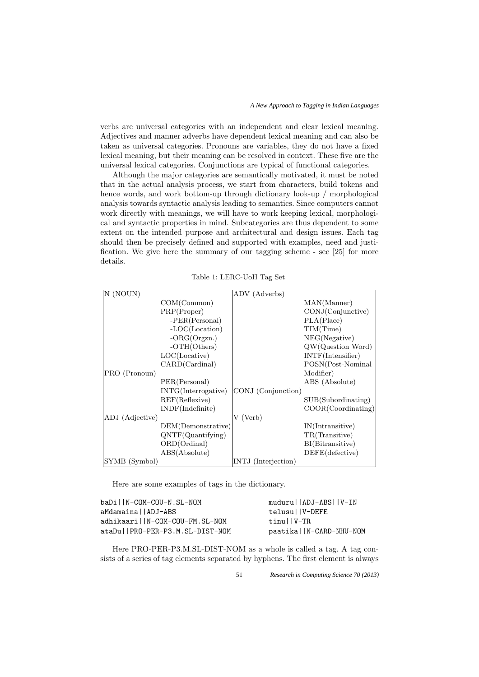verbs are universal categories with an independent and clear lexical meaning. Adjectives and manner adverbs have dependent lexical meaning and can also be taken as universal categories. Pronouns are variables, they do not have a fixed lexical meaning, but their meaning can be resolved in context. These five are the universal lexical categories. Conjunctions are typical of functional categories.

Although the major categories are semantically motivated, it must be noted that in the actual analysis process, we start from characters, build tokens and hence words, and work bottom-up through dictionary look-up / morphological analysis towards syntactic analysis leading to semantics. Since computers cannot work directly with meanings, we will have to work keeping lexical, morphological and syntactic properties in mind. Subcategories are thus dependent to some extent on the intended purpose and architectural and design issues. Each tag should then be precisely defined and supported with examples, need and justification. We give here the summary of our tagging scheme - see [25] for more details.

|  | Table 1: LERC-UoH Tag Set |  |
|--|---------------------------|--|
|--|---------------------------|--|

| N (NOUN)        |                               | ADV (Adverbs)       |                       |
|-----------------|-------------------------------|---------------------|-----------------------|
|                 | COM(Common)                   |                     | MAN(Manner)           |
|                 | PRP(Proper)                   |                     | CONJ(Conjunctive)     |
|                 |                               |                     |                       |
|                 | $-PER(Personal)$              |                     | PLA(Place)            |
|                 | $-LOC(Location)$              |                     | TIM(Time)             |
|                 | $-ORG(Organ.)$                |                     | NEG(Negative)         |
|                 | $-OTH(Others)$                |                     | QW(Question Word)     |
|                 | LOC(Locative)                 |                     | INTF(Intensifier)     |
|                 | CARD(Cardinal)                |                     | POSN(Post-Nominal     |
| PRO (Pronoun)   |                               |                     | Modifier)             |
|                 | PER(Personal)                 |                     | ABS (Absolute)        |
|                 | INTG(Interrogative)           | CONJ (Conjunction)  |                       |
|                 | REF(Reflexive)                |                     | SUB(Subordinating)    |
|                 | INDF(Indefinite)              |                     | $COOR$ (Coordinating) |
| ADJ (Adjective) |                               | V (Verb)            |                       |
|                 | DEM(Demonstrative)            |                     | IN(Intransitive)      |
|                 | QNTF(Quantifying)             |                     | TR(Transitive)        |
|                 | ORD(Ordinal)                  |                     | BI(Bitransitive)      |
|                 | $\text{ABS}(\text{Absolute})$ |                     | $DEFE$ (defective)    |
| SYMB (Symbol)   |                               | INTJ (Interjection) |                       |

Here are some examples of tags in the dictionary.

| baDillN-COM-COU-N.SL-NOM        | muduru     ADJ-ABS     V-IN |
|---------------------------------|-----------------------------|
| aMdamainallADJ-ABS              | telusullV-DEFE              |
| adhikaarillN-COM-COU-FM.SL-NOM  | $t$ inullV-TR               |
| ataDullPRO-PER-P3.M.SL-DIST-NOM | paatika     N-CARD-NHU-NOM  |

Here PRO-PER-P3.M.SL-DIST-NOM as a whole is called a tag. A tag consists of a series of tag elements separated by hyphens. The first element is always

51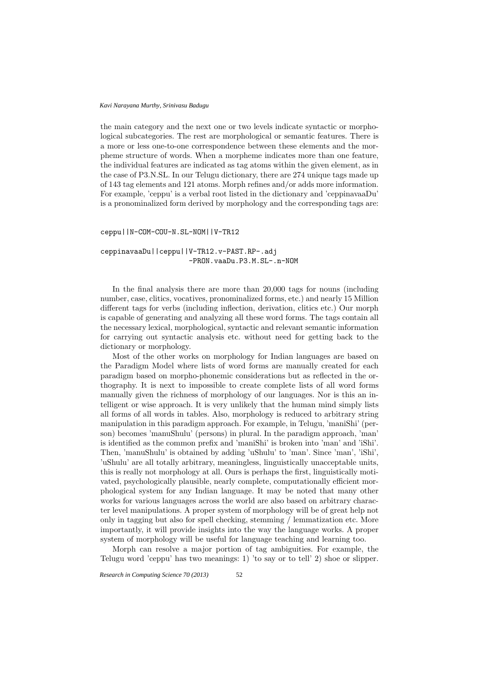the main category and the next one or two levels indicate syntactic or morphological subcategories. The rest are morphological or semantic features. There is a more or less one-to-one correspondence between these elements and the morpheme structure of words. When a morpheme indicates more than one feature, the individual features are indicated as tag atoms within the given element, as in the case of P3.N.SL. In our Telugu dictionary, there are 274 unique tags made up of 143 tag elements and 121 atoms. Morph refines and/or adds more information. For example, 'ceppu' is a verbal root listed in the dictionary and 'ceppinavaaDu' is a pronominalized form derived by morphology and the corresponding tags are:

ceppu||N-COM-COU-N.SL-NOM||V-TR12

ceppinavaaDu||ceppu||V-TR12.v-PAST.RP-.adj -PRON.vaaDu.P3.M.SL-.n-NOM

In the final analysis there are more than 20,000 tags for nouns (including number, case, clitics, vocatives, pronominalized forms, etc.) and nearly 15 Million different tags for verbs (including inflection, derivation, clitics etc.) Our morph is capable of generating and analyzing all these word forms. The tags contain all the necessary lexical, morphological, syntactic and relevant semantic information for carrying out syntactic analysis etc. without need for getting back to the dictionary or morphology.

Most of the other works on morphology for Indian languages are based on the Paradigm Model where lists of word forms are manually created for each paradigm based on morpho-phonemic considerations but as reflected in the orthography. It is next to impossible to create complete lists of all word forms manually given the richness of morphology of our languages. Nor is this an intelligent or wise approach. It is very unlikely that the human mind simply lists all forms of all words in tables. Also, morphology is reduced to arbitrary string manipulation in this paradigm approach. For example, in Telugu, 'maniShi' (person) becomes 'manuShulu' (persons) in plural. In the paradigm approach, 'man' is identified as the common prefix and 'maniShi' is broken into 'man' and 'iShi'. Then, 'manuShulu' is obtained by adding 'uShulu' to 'man'. Since 'man', 'iShi', 'uShulu' are all totally arbitrary, meaningless, linguistically unacceptable units, this is really not morphology at all. Ours is perhaps the first, linguistically motivated, psychologically plausible, nearly complete, computationally efficient morphological system for any Indian language. It may be noted that many other works for various languages across the world are also based on arbitrary character level manipulations. A proper system of morphology will be of great help not only in tagging but also for spell checking, stemming / lemmatization etc. More importantly, it will provide insights into the way the language works. A proper system of morphology will be useful for language teaching and learning too.

Morph can resolve a major portion of tag ambiguities. For example, the Telugu word 'ceppu' has two meanings: 1) 'to say or to tell' 2) shoe or slipper.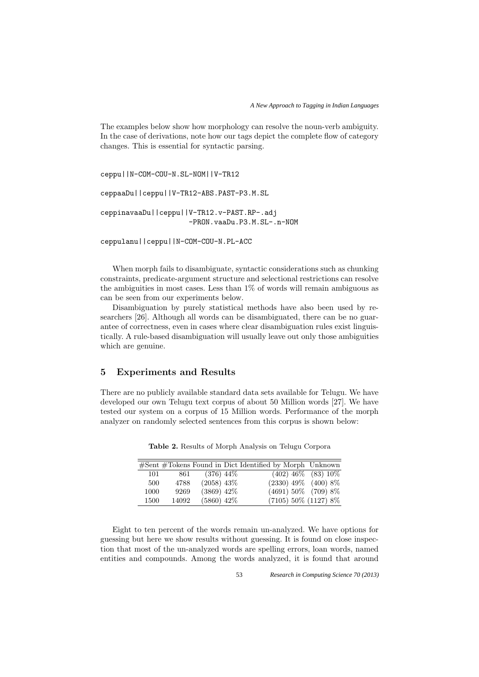The examples below show how morphology can resolve the noun-verb ambiguity. In the case of derivations, note how our tags depict the complete flow of category changes. This is essential for syntactic parsing.

ceppu||N-COM-COU-N.SL-NOM||V-TR12

ceppaaDu||ceppu||V-TR12-ABS.PAST-P3.M.SL ceppinavaaDu||ceppu||V-TR12.v-PAST.RP-.adj

-PRON.vaaDu.P3.M.SL-.n-NOM

ceppulanu||ceppu||N-COM-COU-N.PL-ACC

When morph fails to disambiguate, syntactic considerations such as chunking constraints, predicate-argument structure and selectional restrictions can resolve the ambiguities in most cases. Less than 1% of words will remain ambiguous as can be seen from our experiments below.

Disambiguation by purely statistical methods have also been used by researchers [26]. Although all words can be disambiguated, there can be no guarantee of correctness, even in cases where clear disambiguation rules exist linguistically. A rule-based disambiguation will usually leave out only those ambiguities which are genuine.

## 5 Experiments and Results

There are no publicly available standard data sets available for Telugu. We have developed our own Telugu text corpus of about 50 Million words [27]. We have tested our system on a corpus of 15 Million words. Performance of the morph analyzer on randomly selected sentences from this corpus is shown below:

|      |       |              | #Sent #Tokens Found in Dict Identified by Morph Unknown |  |
|------|-------|--------------|---------------------------------------------------------|--|
| 101  | 861   | $(376)$ 44\% | $(402)$ 46\% $(83)$ 10\%                                |  |
| 500  | 4788  | $(2058)$ 43% | $(2330)$ 49% $(400)$ 8%                                 |  |
| 1000 | 9269  | $(3869)$ 42% | $(4691) 50\%$ (709) 8%                                  |  |
| 1500 | 14092 | $(5860)$ 42% | $(7105) 50\% (1127) 8\%$                                |  |

Table 2. Results of Morph Analysis on Telugu Corpora

Eight to ten percent of the words remain un-analyzed. We have options for guessing but here we show results without guessing. It is found on close inspection that most of the un-analyzed words are spelling errors, loan words, named entities and compounds. Among the words analyzed, it is found that around

53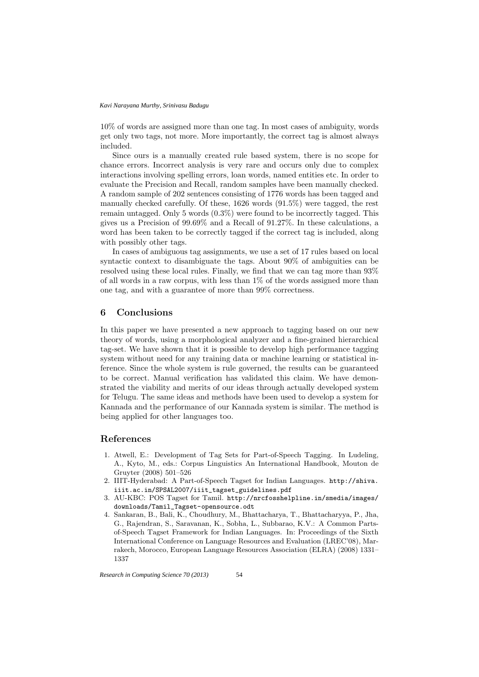10% of words are assigned more than one tag. In most cases of ambiguity, words get only two tags, not more. More importantly, the correct tag is almost always included.

Since ours is a manually created rule based system, there is no scope for chance errors. Incorrect analysis is very rare and occurs only due to complex interactions involving spelling errors, loan words, named entities etc. In order to evaluate the Precision and Recall, random samples have been manually checked. A random sample of 202 sentences consisting of 1776 words has been tagged and manually checked carefully. Of these, 1626 words (91.5%) were tagged, the rest remain untagged. Only 5 words (0.3%) were found to be incorrectly tagged. This gives us a Precision of 99.69% and a Recall of 91.27%. In these calculations, a word has been taken to be correctly tagged if the correct tag is included, along with possibly other tags.

In cases of ambiguous tag assignments, we use a set of 17 rules based on local syntactic context to disambiguate the tags. About 90% of ambiguities can be resolved using these local rules. Finally, we find that we can tag more than 93% of all words in a raw corpus, with less than 1% of the words assigned more than one tag, and with a guarantee of more than 99% correctness.

#### 6 Conclusions

In this paper we have presented a new approach to tagging based on our new theory of words, using a morphological analyzer and a fine-grained hierarchical tag-set. We have shown that it is possible to develop high performance tagging system without need for any training data or machine learning or statistical inference. Since the whole system is rule governed, the results can be guaranteed to be correct. Manual verification has validated this claim. We have demonstrated the viability and merits of our ideas through actually developed system for Telugu. The same ideas and methods have been used to develop a system for Kannada and the performance of our Kannada system is similar. The method is being applied for other languages too.

#### References

- 1. Atwell, E.: Development of Tag Sets for Part-of-Speech Tagging. In Ludeling, A., Kyto, M., eds.: Corpus Linguistics An International Handbook, Mouton de Gruyter (2008) 501–526
- 2. IIIT-Hyderabad: A Part-of-Speech Tagset for Indian Languages. http://shiva. iiit.ac.in/SPSAL2007/iiit\_tagset\_guidelines.pdf
- 3. AU-KBC: POS Tagset for Tamil. http://nrcfosshelpline.in/smedia/images/ downloads/Tamil\_Tagset-opensource.odt
- 4. Sankaran, B., Bali, K., Choudhury, M., Bhattacharya, T., Bhattacharyya, P., Jha, G., Rajendran, S., Saravanan, K., Sobha, L., Subbarao, K.V.: A Common Partsof-Speech Tagset Framework for Indian Languages. In: Proceedings of the Sixth International Conference on Language Resources and Evaluation (LREC'08), Marrakech, Morocco, European Language Resources Association (ELRA) (2008) 1331– 1337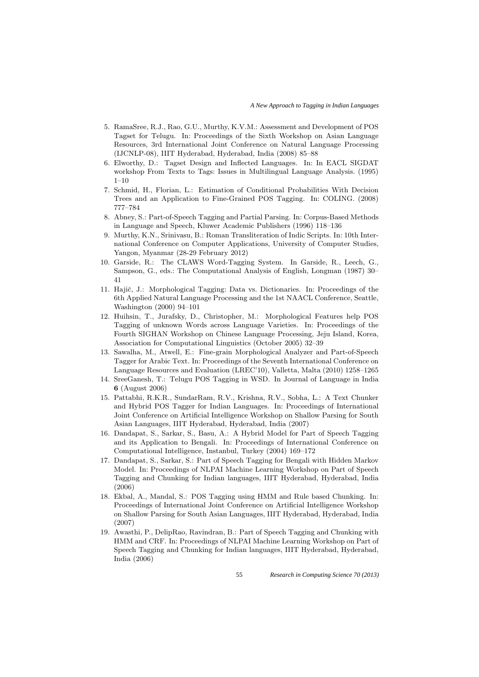- 5. RamaSree, R.J., Rao, G.U., Murthy, K.V.M.: Assessment and Development of POS Tagset for Telugu. In: Proceedings of the Sixth Workshop on Asian Language Resources, 3rd International Joint Conference on Natural Language Processing (IJCNLP-08), IIIT Hyderabad, Hyderabad, India (2008) 85–88
- 6. Elworthy, D.: Tagset Design and Inflected Languages. In: In EACL SIGDAT workshop From Texts to Tags: Issues in Multilingual Language Analysis. (1995)  $1 - 10$
- 7. Schmid, H., Florian, L.: Estimation of Conditional Probabilities With Decision Trees and an Application to Fine-Grained POS Tagging. In: COLING. (2008) 777–784
- 8. Abney, S.: Part-of-Speech Tagging and Partial Parsing. In: Corpus-Based Methods in Language and Speech, Kluwer Academic Publishers (1996) 118–136
- 9. Murthy, K.N., Srinivasu, B.: Roman Transliteration of Indic Scripts. In: 10th International Conference on Computer Applications, University of Computer Studies, Yangon, Myanmar (28-29 February 2012)
- 10. Garside, R.: The CLAWS Word-Tagging System. In Garside, R., Leech, G., Sampson, G., eds.: The Computational Analysis of English, Longman (1987) 30– 41
- 11. Hajič, J.: Morphological Tagging: Data vs. Dictionaries. In: Proceedings of the 6th Applied Natural Language Processing and the 1st NAACL Conference, Seattle, Washington (2000) 94–101
- 12. Huihsin, T., Jurafsky, D., Christopher, M.: Morphological Features help POS Tagging of unknown Words across Language Varieties. In: Proceedings of the Fourth SIGHAN Workshop on Chinese Language Processing, Jeju Island, Korea, Association for Computational Linguistics (October 2005) 32–39
- 13. Sawalha, M., Atwell, E.: Fine-grain Morphological Analyzer and Part-of-Speech Tagger for Arabic Text. In: Proceedings of the Seventh International Conference on Language Resources and Evaluation (LREC'10), Valletta, Malta (2010) 1258–1265
- 14. SreeGanesh, T.: Telugu POS Tagging in WSD. In Journal of Language in India 6 (August 2006)
- 15. Pattabhi, R.K.R., SundarRam, R.V., Krishna, R.V., Sobha, L.: A Text Chunker and Hybrid POS Tagger for Indian Languages. In: Proceedings of International Joint Conference on Artificial Intelligence Workshop on Shallow Parsing for South Asian Languages, IIIT Hyderabad, Hyderabad, India (2007)
- 16. Dandapat, S., Sarkar, S., Basu, A.: A Hybrid Model for Part of Speech Tagging and its Application to Bengali. In: Proceedings of International Conference on Computational Intelligence, Instanbul, Turkey (2004) 169–172
- 17. Dandapat, S., Sarkar, S.: Part of Speech Tagging for Bengali with Hidden Markov Model. In: Proceedings of NLPAI Machine Learning Workshop on Part of Speech Tagging and Chunking for Indian languages, IIIT Hyderabad, Hyderabad, India (2006)
- 18. Ekbal, A., Mandal, S.: POS Tagging using HMM and Rule based Chunking. In: Proceedings of International Joint Conference on Artificial Intelligence Workshop on Shallow Parsing for South Asian Languages, IIIT Hyderabad, Hyderabad, India (2007)
- 19. Awasthi, P., DelipRao, Ravindran, B.: Part of Speech Tagging and Chunking with HMM and CRF. In: Proceedings of NLPAI Machine Learning Workshop on Part of Speech Tagging and Chunking for Indian languages, IIIT Hyderabad, Hyderabad, India (2006)